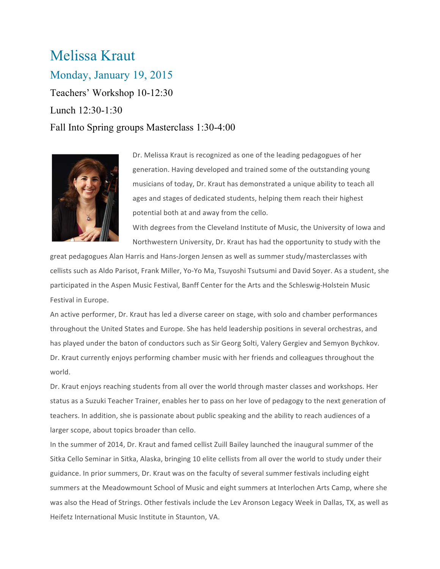## Melissa Kraut

Monday, January 19, 2015 Teachers' Workshop 10-12:30 Lunch 12:30-1:30 Fall Into Spring groups Masterclass 1:30-4:00



Dr. Melissa Kraut is recognized as one of the leading pedagogues of her generation. Having developed and trained some of the outstanding young musicians of today, Dr. Kraut has demonstrated a unique ability to teach all ages and stages of dedicated students, helping them reach their highest potential both at and away from the cello.

With degrees from the Cleveland Institute of Music, the University of Iowa and Northwestern University, Dr. Kraut has had the opportunity to study with the

great pedagogues Alan Harris and Hans-Jorgen Jensen as well as summer study/masterclasses with cellists such as Aldo Parisot, Frank Miller, Yo-Yo Ma, Tsuyoshi Tsutsumi and David Soyer. As a student, she participated in the Aspen Music Festival, Banff Center for the Arts and the Schleswig-Holstein Music Festival in Europe.

An active performer, Dr. Kraut has led a diverse career on stage, with solo and chamber performances throughout the United States and Europe. She has held leadership positions in several orchestras, and has played under the baton of conductors such as Sir Georg Solti, Valery Gergiev and Semyon Bychkov. Dr. Kraut currently enjoys performing chamber music with her friends and colleagues throughout the world.

Dr. Kraut enjoys reaching students from all over the world through master classes and workshops. Her status as a Suzuki Teacher Trainer, enables her to pass on her love of pedagogy to the next generation of teachers. In addition, she is passionate about public speaking and the ability to reach audiences of a larger scope, about topics broader than cello.

In the summer of 2014, Dr. Kraut and famed cellist Zuill Bailey launched the inaugural summer of the Sitka Cello Seminar in Sitka, Alaska, bringing 10 elite cellists from all over the world to study under their guidance. In prior summers, Dr. Kraut was on the faculty of several summer festivals including eight summers at the Meadowmount School of Music and eight summers at Interlochen Arts Camp, where she was also the Head of Strings. Other festivals include the Lev Aronson Legacy Week in Dallas, TX, as well as Heifetz International Music Institute in Staunton, VA.